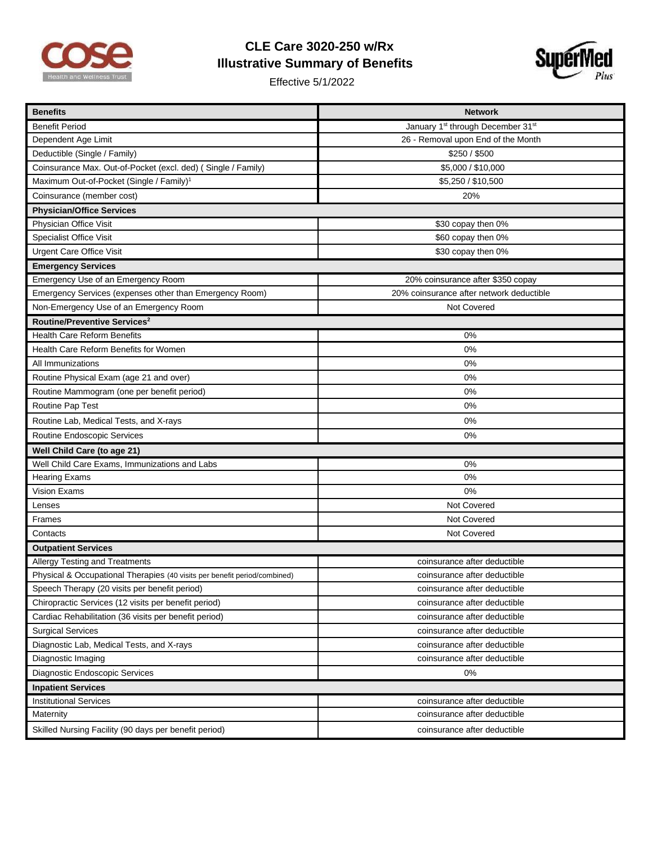

## **CLE Care 3020-250 w/Rx Illustrative Summary of Benefits**

Effective 5/1/2022



| <b>Benefits</b>                                                           | <b>Network</b>                                            |  |  |  |
|---------------------------------------------------------------------------|-----------------------------------------------------------|--|--|--|
| <b>Benefit Period</b>                                                     | January 1 <sup>st</sup> through December 31 <sup>st</sup> |  |  |  |
| Dependent Age Limit                                                       | 26 - Removal upon End of the Month                        |  |  |  |
| Deductible (Single / Family)                                              | \$250 / \$500                                             |  |  |  |
| Coinsurance Max. Out-of-Pocket (excl. ded) ( Single / Family)             | \$5,000 / \$10,000                                        |  |  |  |
| Maximum Out-of-Pocket (Single / Family) <sup>1</sup>                      | \$5,250 / \$10,500                                        |  |  |  |
| Coinsurance (member cost)                                                 | 20%                                                       |  |  |  |
| <b>Physician/Office Services</b>                                          |                                                           |  |  |  |
| Physician Office Visit                                                    | \$30 copay then 0%                                        |  |  |  |
| <b>Specialist Office Visit</b>                                            | \$60 copay then 0%                                        |  |  |  |
| <b>Urgent Care Office Visit</b>                                           | \$30 copay then 0%                                        |  |  |  |
| <b>Emergency Services</b>                                                 |                                                           |  |  |  |
| Emergency Use of an Emergency Room                                        | 20% coinsurance after \$350 copay                         |  |  |  |
| Emergency Services (expenses other than Emergency Room)                   | 20% coinsurance after network deductible                  |  |  |  |
| Non-Emergency Use of an Emergency Room                                    | Not Covered                                               |  |  |  |
| Routine/Preventive Services <sup>2</sup>                                  |                                                           |  |  |  |
| <b>Health Care Reform Benefits</b>                                        | 0%                                                        |  |  |  |
| Health Care Reform Benefits for Women                                     | 0%                                                        |  |  |  |
| All Immunizations                                                         | 0%                                                        |  |  |  |
| Routine Physical Exam (age 21 and over)                                   | 0%                                                        |  |  |  |
| Routine Mammogram (one per benefit period)                                | 0%                                                        |  |  |  |
| Routine Pap Test                                                          | 0%                                                        |  |  |  |
| Routine Lab, Medical Tests, and X-rays                                    | 0%                                                        |  |  |  |
| Routine Endoscopic Services                                               | 0%                                                        |  |  |  |
| Well Child Care (to age 21)                                               |                                                           |  |  |  |
| Well Child Care Exams, Immunizations and Labs                             | 0%                                                        |  |  |  |
| <b>Hearing Exams</b>                                                      | 0%                                                        |  |  |  |
| Vision Exams                                                              | 0%                                                        |  |  |  |
| Lenses                                                                    | Not Covered                                               |  |  |  |
| Frames                                                                    | Not Covered                                               |  |  |  |
| Contacts                                                                  | Not Covered                                               |  |  |  |
| <b>Outpatient Services</b>                                                |                                                           |  |  |  |
| Allergy Testing and Treatments                                            | coinsurance after deductible                              |  |  |  |
| Physical & Occupational Therapies (40 visits per benefit period/combined) | coinsurance after deductible                              |  |  |  |
| Speech Therapy (20 visits per benefit period)                             | coinsurance after deductible                              |  |  |  |
| Chiropractic Services (12 visits per benefit period)                      | coinsurance after deductible                              |  |  |  |
| Cardiac Rehabilitation (36 visits per benefit period)                     | coinsurance after deductible                              |  |  |  |
| <b>Surgical Services</b>                                                  | coinsurance after deductible                              |  |  |  |
| Diagnostic Lab, Medical Tests, and X-rays                                 | coinsurance after deductible                              |  |  |  |
| Diagnostic Imaging                                                        | coinsurance after deductible                              |  |  |  |
| Diagnostic Endoscopic Services                                            | 0%                                                        |  |  |  |
| <b>Inpatient Services</b>                                                 |                                                           |  |  |  |
| <b>Institutional Services</b>                                             | coinsurance after deductible                              |  |  |  |
| Maternity                                                                 | coinsurance after deductible                              |  |  |  |
| Skilled Nursing Facility (90 days per benefit period)                     | coinsurance after deductible                              |  |  |  |